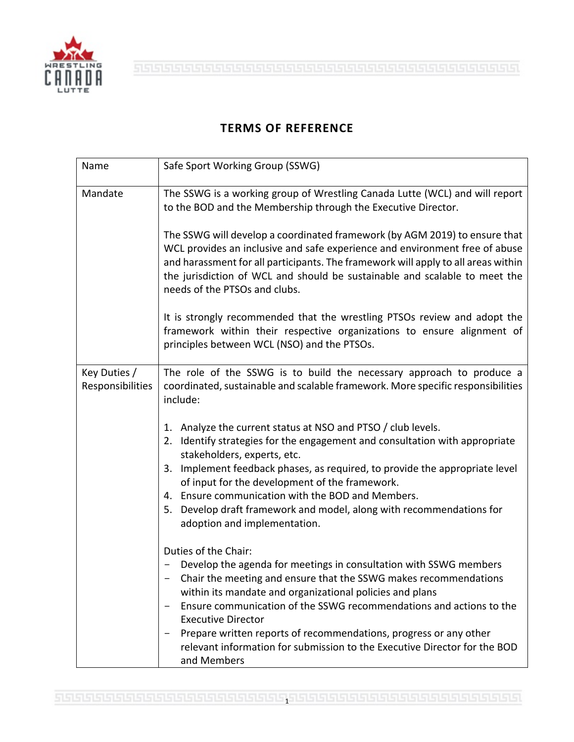

## **TERMS OF REFERENCE**

| Name                             | Safe Sport Working Group (SSWG)                                                                                                                                                                                                                                                                                                                                                                                                                                                                |
|----------------------------------|------------------------------------------------------------------------------------------------------------------------------------------------------------------------------------------------------------------------------------------------------------------------------------------------------------------------------------------------------------------------------------------------------------------------------------------------------------------------------------------------|
| Mandate                          | The SSWG is a working group of Wrestling Canada Lutte (WCL) and will report<br>to the BOD and the Membership through the Executive Director.                                                                                                                                                                                                                                                                                                                                                   |
|                                  | The SSWG will develop a coordinated framework (by AGM 2019) to ensure that<br>WCL provides an inclusive and safe experience and environment free of abuse<br>and harassment for all participants. The framework will apply to all areas within<br>the jurisdiction of WCL and should be sustainable and scalable to meet the<br>needs of the PTSOs and clubs.                                                                                                                                  |
|                                  | It is strongly recommended that the wrestling PTSOs review and adopt the<br>framework within their respective organizations to ensure alignment of<br>principles between WCL (NSO) and the PTSOs.                                                                                                                                                                                                                                                                                              |
| Key Duties /<br>Responsibilities | The role of the SSWG is to build the necessary approach to produce a<br>coordinated, sustainable and scalable framework. More specific responsibilities<br>include:                                                                                                                                                                                                                                                                                                                            |
|                                  | 1. Analyze the current status at NSO and PTSO / club levels.<br>Identify strategies for the engagement and consultation with appropriate<br>2.<br>stakeholders, experts, etc.<br>Implement feedback phases, as required, to provide the appropriate level<br>3.<br>of input for the development of the framework.<br>4. Ensure communication with the BOD and Members.<br>Develop draft framework and model, along with recommendations for<br>5.<br>adoption and implementation.              |
|                                  | Duties of the Chair:<br>Develop the agenda for meetings in consultation with SSWG members<br>Chair the meeting and ensure that the SSWG makes recommendations<br>within its mandate and organizational policies and plans<br>Ensure communication of the SSWG recommendations and actions to the<br><b>Executive Director</b><br>Prepare written reports of recommendations, progress or any other<br>relevant information for submission to the Executive Director for the BOD<br>and Members |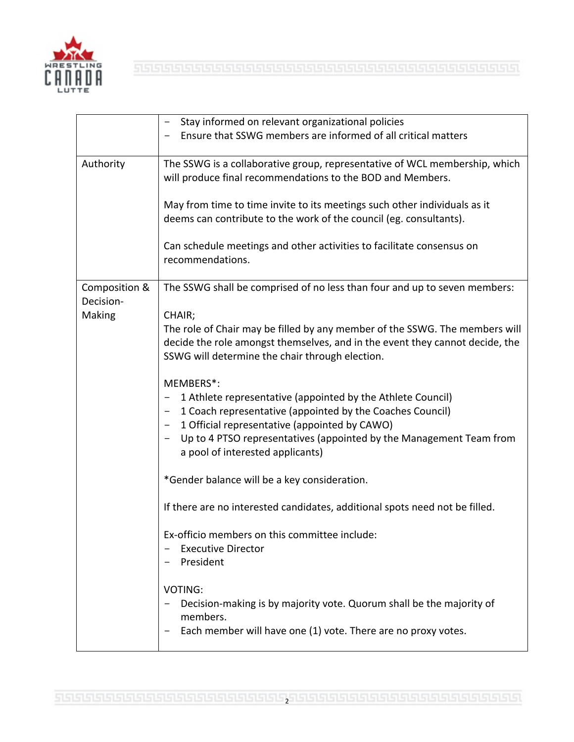

|                                      | Stay informed on relevant organizational policies<br>Ensure that SSWG members are informed of all critical matters                                                                                                                                                                                |
|--------------------------------------|---------------------------------------------------------------------------------------------------------------------------------------------------------------------------------------------------------------------------------------------------------------------------------------------------|
| Authority                            | The SSWG is a collaborative group, representative of WCL membership, which<br>will produce final recommendations to the BOD and Members.                                                                                                                                                          |
|                                      | May from time to time invite to its meetings such other individuals as it<br>deems can contribute to the work of the council (eg. consultants).                                                                                                                                                   |
|                                      | Can schedule meetings and other activities to facilitate consensus on<br>recommendations.                                                                                                                                                                                                         |
| Composition &<br>Decision-<br>Making | The SSWG shall be comprised of no less than four and up to seven members:                                                                                                                                                                                                                         |
|                                      | CHAIR;<br>The role of Chair may be filled by any member of the SSWG. The members will<br>decide the role amongst themselves, and in the event they cannot decide, the<br>SSWG will determine the chair through election.                                                                          |
|                                      | MEMBERS*:<br>1 Athlete representative (appointed by the Athlete Council)<br>1 Coach representative (appointed by the Coaches Council)<br>1 Official representative (appointed by CAWO)<br>Up to 4 PTSO representatives (appointed by the Management Team from<br>a pool of interested applicants) |
|                                      | *Gender balance will be a key consideration.                                                                                                                                                                                                                                                      |
|                                      | If there are no interested candidates, additional spots need not be filled.                                                                                                                                                                                                                       |
|                                      | Ex-officio members on this committee include:<br><b>Executive Director</b><br>President                                                                                                                                                                                                           |
|                                      | VOTING:<br>Decision-making is by majority vote. Quorum shall be the majority of<br>members.<br>Each member will have one (1) vote. There are no proxy votes.                                                                                                                                      |